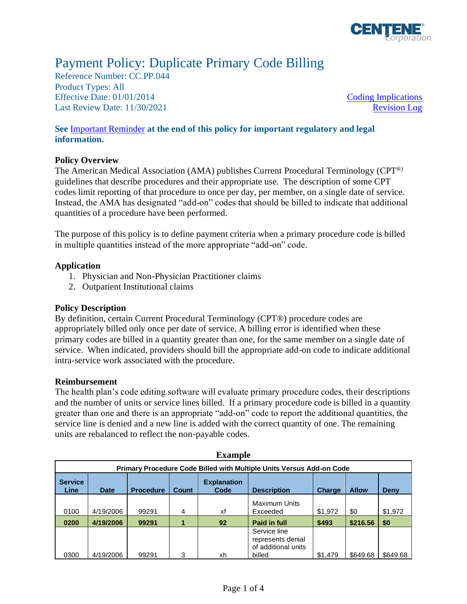

# Payment Policy: Duplicate Primary Code Billing

Reference Number: CC.PP.044 Product Types: All Effective Date:  $01/01/2014$  [Coding Implications](#page-1-0) Last Review Date: 11/30/2021 [Revision Log](#page-2-0)

# **See** [Important Reminder](#page-2-1) **at the end of this policy for important regulatory and legal information.**

# **Policy Overview**

The American Medical Association (AMA) publishes Current Procedural Terminology (CPT®) guidelines that describe procedures and their appropriate use. The description of some CPT codes limit reporting of that procedure to once per day, per member, on a single date of service. Instead, the AMA has designated "add-on" codes that should be billed to indicate that additional quantities of a procedure have been performed.

The purpose of this policy is to define payment criteria when a primary procedure code is billed in multiple quantities instead of the more appropriate "add-on" code.

# **Application**

- 1. Physician and Non-Physician Practitioner claims
- 2. Outpatient Institutional claims

# **Policy Description**

By definition, certain Current Procedural Terminology (CPT®) procedure codes are appropriately billed only once per date of service. A billing error is identified when these primary codes are billed in a quantity greater than one, for the same member on a single date of service. When indicated, providers should bill the appropriate add-on code to indicate additional intra-service work associated with the procedure.

# **Reimbursement**

The health plan's code editing software will evaluate primary procedure codes, their descriptions and the number of units or service lines billed. If a primary procedure code is billed in a quantity greater than one and there is an appropriate "add-on" code to report the additional quantities, the service line is denied and a new line is added with the correct quantity of one. The remaining units are rebalanced to reflect the non-payable codes.

| $-$                                                                         |             |                  |              |                            |                                                                    |         |              |          |  |  |
|-----------------------------------------------------------------------------|-------------|------------------|--------------|----------------------------|--------------------------------------------------------------------|---------|--------------|----------|--|--|
| <b>Primary Procedure Code Billed with Multiple Units Versus Add-on Code</b> |             |                  |              |                            |                                                                    |         |              |          |  |  |
| <b>Service</b><br>Line                                                      | <b>Date</b> | <b>Procedure</b> | <b>Count</b> | <b>Explanation</b><br>Code | <b>Description</b>                                                 | Charge  | <b>Allow</b> | Deny     |  |  |
| 0100                                                                        | 4/19/2006   | 99291            | 4            | xf                         | <b>Maximum Units</b><br>Exceeded                                   | \$1,972 | \$0          | \$1,972  |  |  |
| 0200                                                                        | 4/19/2006   | 99291            |              | 92                         | <b>Paid in full</b>                                                | \$493   | \$216.56     | \$0      |  |  |
| 0300                                                                        | 4/19/2006   | 99291            | 3            | xh                         | Service line<br>represents denial<br>of additional units<br>billed | \$1,479 | \$649.68     | \$649.68 |  |  |

**Example**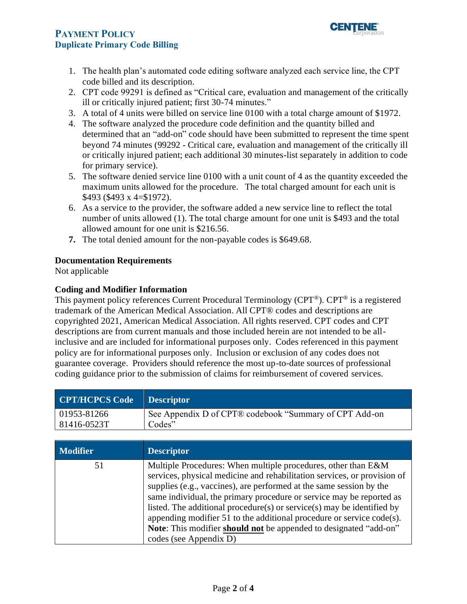# **PAYMENT POLICY Duplicate Primary Code Billing**



- 1. The health plan's automated code editing software analyzed each service line, the CPT code billed and its description.
- 2. CPT code 99291 is defined as "Critical care, evaluation and management of the critically ill or critically injured patient; first 30-74 minutes."
- 3. A total of 4 units were billed on service line 0100 with a total charge amount of \$1972.
- 4. The software analyzed the procedure code definition and the quantity billed and determined that an "add-on" code should have been submitted to represent the time spent beyond 74 minutes (99292 - Critical care, evaluation and management of the critically ill or critically injured patient; each additional 30 minutes-list separately in addition to code for primary service).
- 5. The software denied service line 0100 with a unit count of 4 as the quantity exceeded the maximum units allowed for the procedure. The total charged amount for each unit is \$493 (\$493 x 4=\$1972).
- 6. As a service to the provider, the software added a new service line to reflect the total number of units allowed (1). The total charge amount for one unit is \$493 and the total allowed amount for one unit is \$216.56.
- **7.** The total denied amount for the non-payable codes is \$649.68.

# **Documentation Requirements**

Not applicable

#### <span id="page-1-0"></span>**Coding and Modifier Information**

This payment policy references Current Procedural Terminology (CPT®). CPT® is a registered trademark of the American Medical Association. All CPT® codes and descriptions are copyrighted 2021, American Medical Association. All rights reserved. CPT codes and CPT descriptions are from current manuals and those included herein are not intended to be allinclusive and are included for informational purposes only. Codes referenced in this payment policy are for informational purposes only. Inclusion or exclusion of any codes does not guarantee coverage. Providers should reference the most up-to-date sources of professional coding guidance prior to the submission of claims for reimbursement of covered services.

| CPT/HCPCS Code Descriptor |                                                        |
|---------------------------|--------------------------------------------------------|
| $ 01953 - 81266 $         | See Appendix D of CPT® codebook "Summary of CPT Add-on |
| 81416-0523T               | Codes"                                                 |

| <b>Modifier</b> | <b>Descriptor</b>                                                                                                                                                                                                                                                                                                                                                                                                                                                                                                                             |
|-----------------|-----------------------------------------------------------------------------------------------------------------------------------------------------------------------------------------------------------------------------------------------------------------------------------------------------------------------------------------------------------------------------------------------------------------------------------------------------------------------------------------------------------------------------------------------|
| 51              | Multiple Procedures: When multiple procedures, other than E&M<br>services, physical medicine and rehabilitation services, or provision of<br>supplies (e.g., vaccines), are performed at the same session by the<br>same individual, the primary procedure or service may be reported as<br>listed. The additional procedure(s) or service(s) may be identified by<br>appending modifier 51 to the additional procedure or service $code(s)$ .<br>Note: This modifier should not be appended to designated "add-on"<br>codes (see Appendix D) |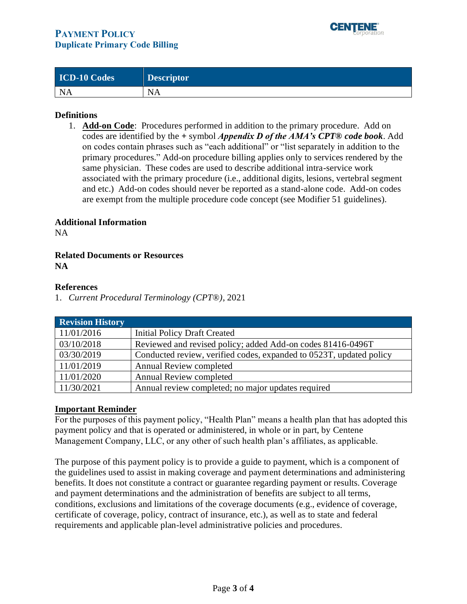

| <b>ICD-10 Codes</b> | <b>Descriptor</b> |
|---------------------|-------------------|
| <b>NA</b>           | <b>NA</b>         |

# **Definitions**

1. **Add-on Code**: Procedures performed in addition to the primary procedure. Add on codes are identified by the **+** symbol *Appendix D of the AMA's CPT® code book*. Add on codes contain phrases such as "each additional" or "list separately in addition to the primary procedures." Add-on procedure billing applies only to services rendered by the same physician. These codes are used to describe additional intra-service work associated with the primary procedure (i.e., additional digits, lesions, vertebral segment and etc.) Add-on codes should never be reported as a stand-alone code. Add-on codes are exempt from the multiple procedure code concept (see Modifier 51 guidelines).

#### **Additional Information**

NA

#### **Related Documents or Resources NA**

#### **References**

1. *Current Procedural Terminology (CPT*®*)*, 2021

<span id="page-2-0"></span>

| <b>Revision History</b> |                                                                     |
|-------------------------|---------------------------------------------------------------------|
| 11/01/2016              | <b>Initial Policy Draft Created</b>                                 |
| 03/10/2018              | Reviewed and revised policy; added Add-on codes 81416-0496T         |
| 03/30/2019              | Conducted review, verified codes, expanded to 0523T, updated policy |
| 11/01/2019              | <b>Annual Review completed</b>                                      |
| 11/01/2020              | <b>Annual Review completed</b>                                      |
| 11/30/2021              | Annual review completed; no major updates required                  |

#### <span id="page-2-1"></span>**Important Reminder**

For the purposes of this payment policy, "Health Plan" means a health plan that has adopted this payment policy and that is operated or administered, in whole or in part, by Centene Management Company, LLC, or any other of such health plan's affiliates, as applicable.

The purpose of this payment policy is to provide a guide to payment, which is a component of the guidelines used to assist in making coverage and payment determinations and administering benefits. It does not constitute a contract or guarantee regarding payment or results. Coverage and payment determinations and the administration of benefits are subject to all terms, conditions, exclusions and limitations of the coverage documents (e.g., evidence of coverage, certificate of coverage, policy, contract of insurance, etc.), as well as to state and federal requirements and applicable plan-level administrative policies and procedures.